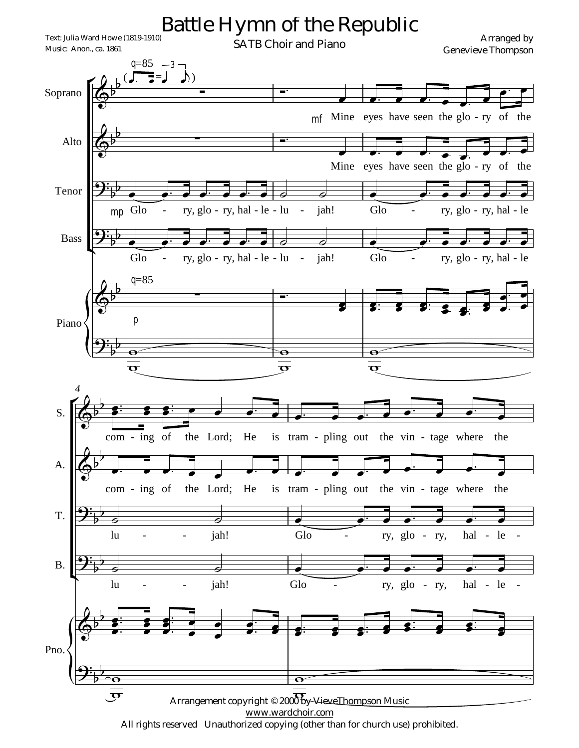

All rights reserved Unauthorized copying (other than for church use) prohibited.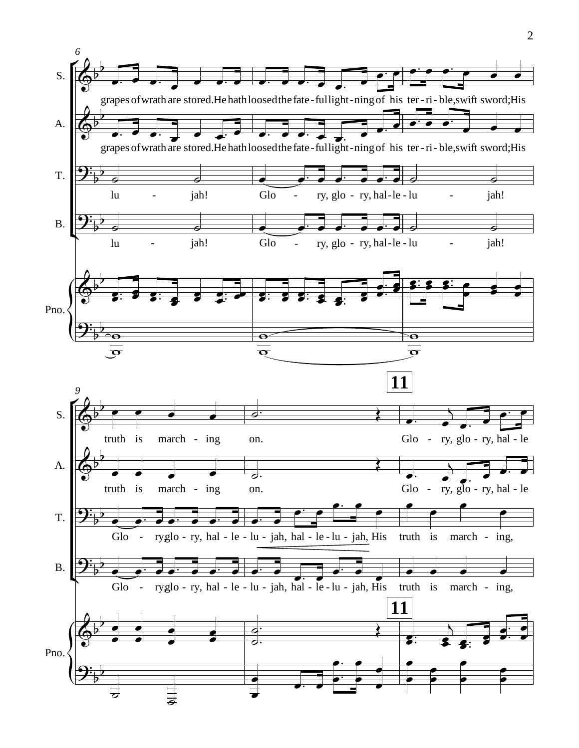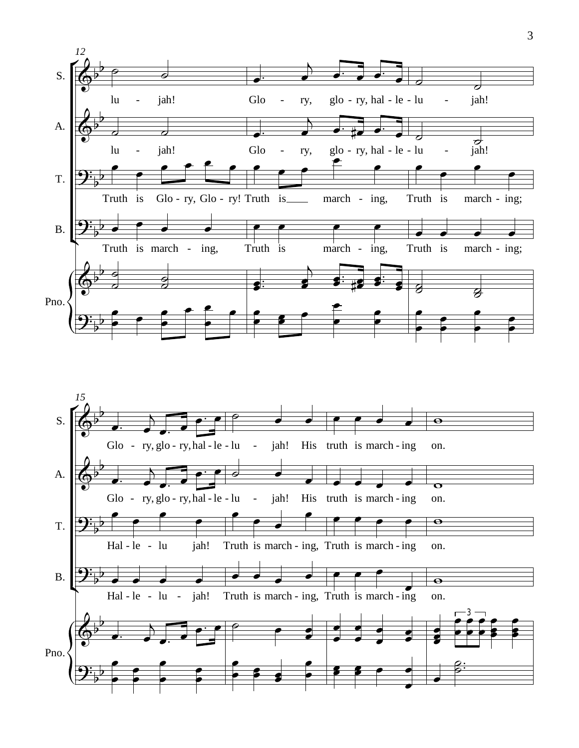

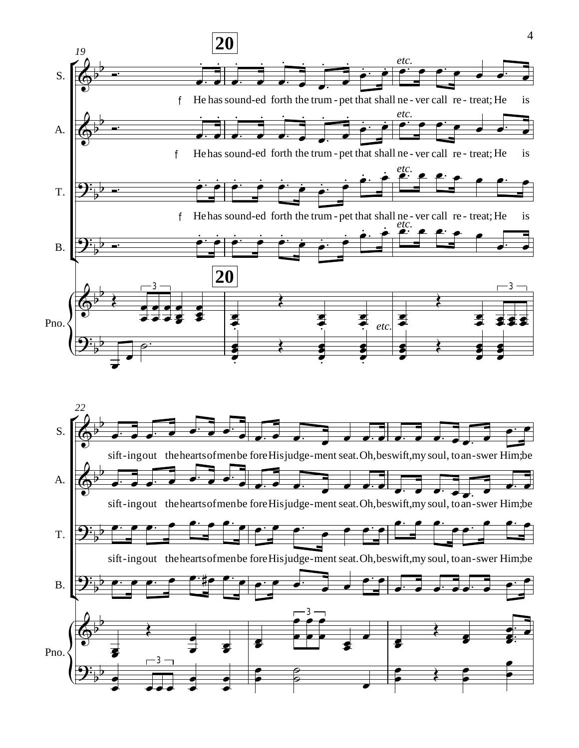

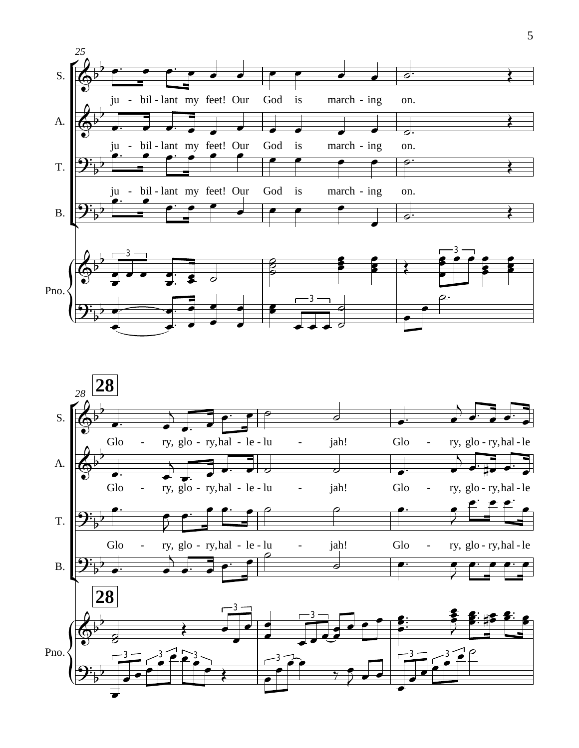

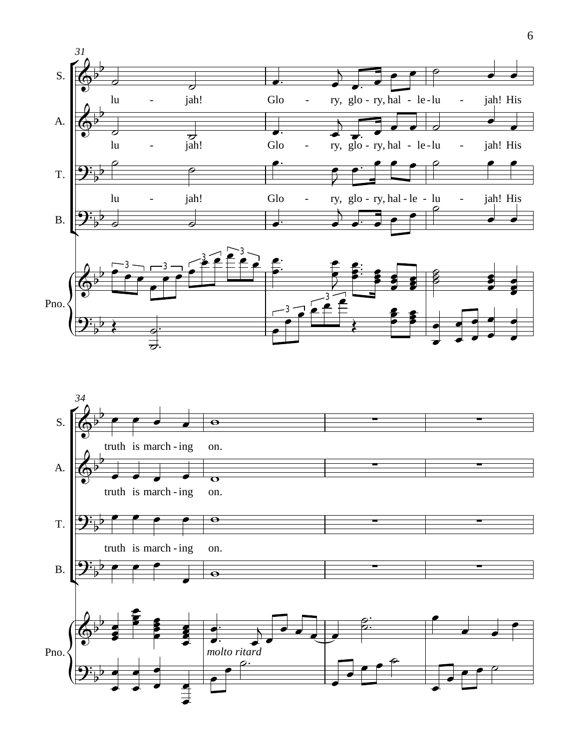

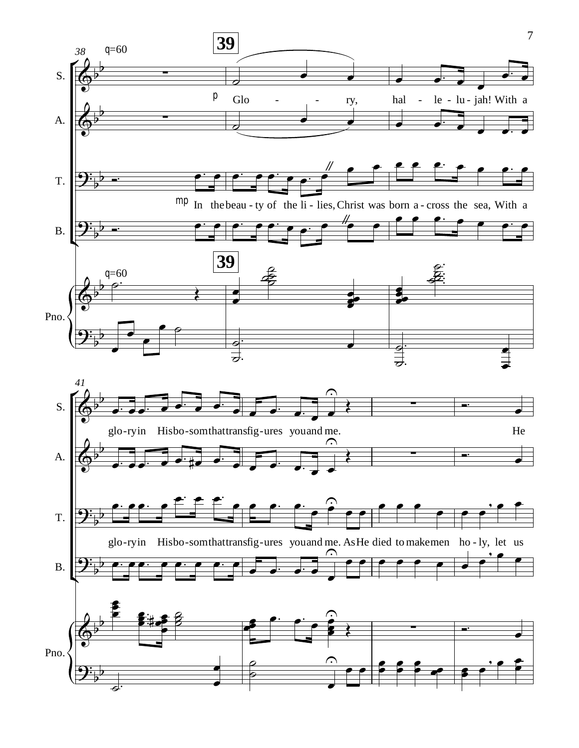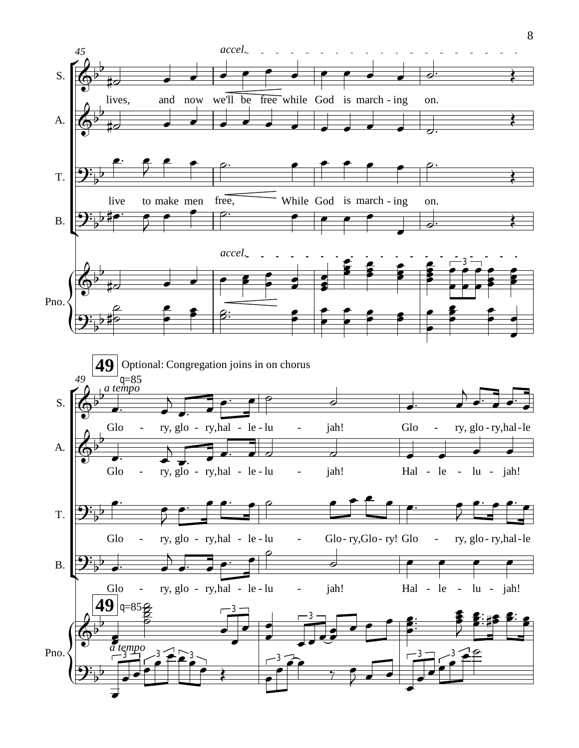